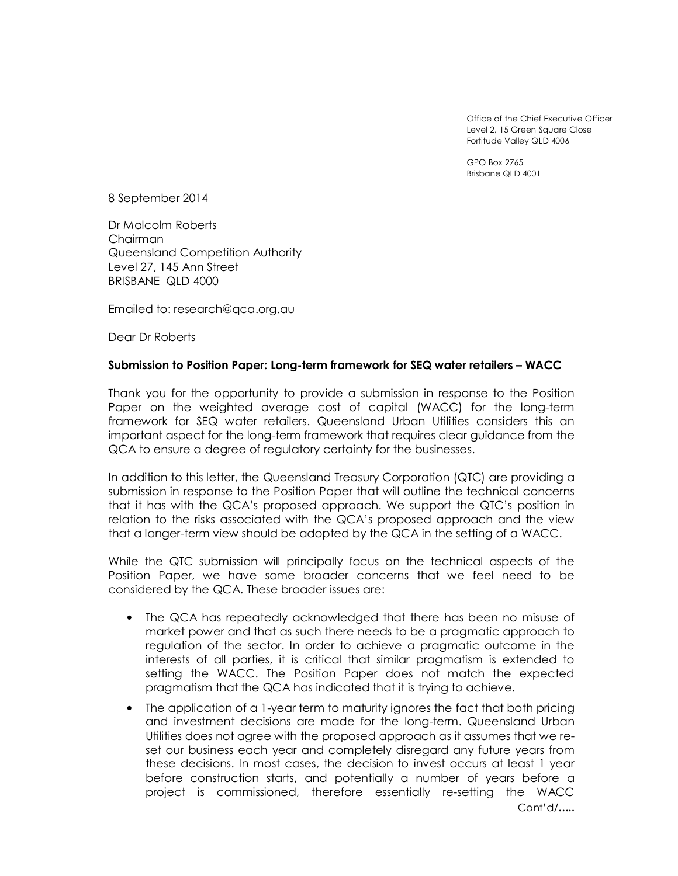Office of the Chief Executive Officer Level 2, 15 Green Square Close Fortitude Valley QLD 4006

GPO Box 2765 Brisbane QLD 4001

8 September 2014

Dr Malcolm Roberts Chairman Queensland Competition Authority Level 27, 145 Ann Street BRISBANE QLD 4000

Emailed to: research@qca.org.au

Dear Dr Roberts

## **Submission to Position Paper: Long-term framework for SEQ water retailers – WACC**

Thank you for the opportunity to provide a submission in response to the Position Paper on the weighted average cost of capital (WACC) for the long-term framework for SEQ water retailers. Queensland Urban Utilities considers this an important aspect for the long-term framework that requires clear guidance from the QCA to ensure a degree of regulatory certainty for the businesses.

In addition to this letter, the Queensland Treasury Corporation (QTC) are providing a submission in response to the Position Paper that will outline the technical concerns that it has with the QCA's proposed approach. We support the QTC's position in relation to the risks associated with the QCA's proposed approach and the view that a longer-term view should be adopted by the QCA in the setting of a WACC.

While the QTC submission will principally focus on the technical aspects of the Position Paper, we have some broader concerns that we feel need to be considered by the QCA. These broader issues are:

- The QCA has repeatedly acknowledged that there has been no misuse of market power and that as such there needs to be a pragmatic approach to regulation of the sector. In order to achieve a pragmatic outcome in the interests of all parties, it is critical that similar pragmatism is extended to setting the WACC. The Position Paper does not match the expected pragmatism that the QCA has indicated that it is trying to achieve.
- The application of a 1-year term to maturity ignores the fact that both pricing and investment decisions are made for the long-term. Queensland Urban Utilities does not agree with the proposed approach as it assumes that we reset our business each year and completely disregard any future years from these decisions. In most cases, the decision to invest occurs at least 1 year before construction starts, and potentially a number of years before a project is commissioned, therefore essentially re-setting the WACC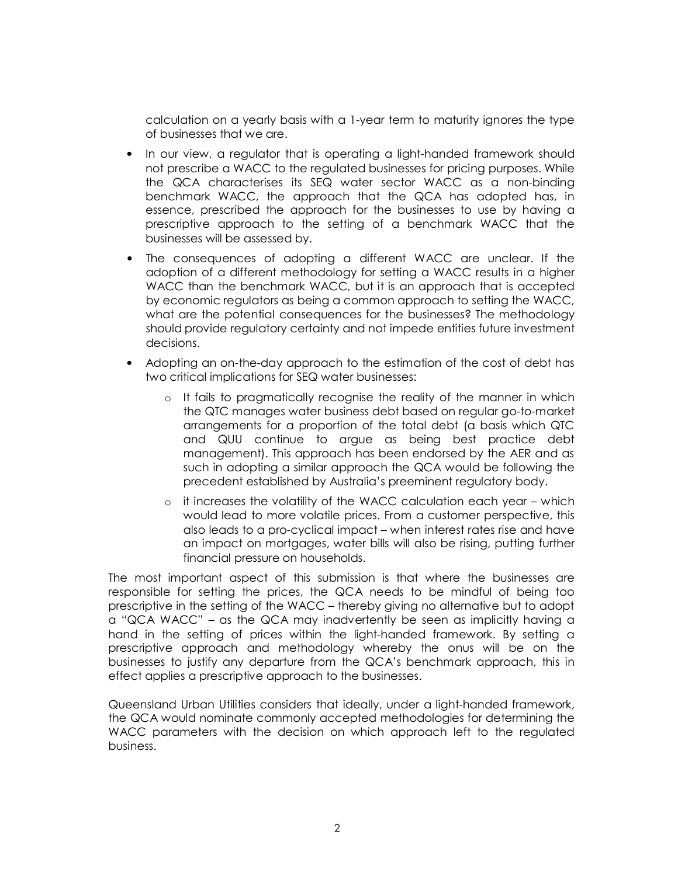calculation on a yearly basis with a 1-year term to maturity ignores the type of businesses that we are.

- In our view, a regulator that is operating a light-handed framework should not prescribe a WACC to the regulated businesses for pricing purposes. While the QCA characterises its SEQ water sector WACC as a non-binding benchmark WACC, the approach that the QCA has adopted has, in essence, prescribed the approach for the businesses to use by having a prescriptive approach to the setting of a benchmark WACC that the businesses will be assessed by.
- The consequences of adopting a different WACC are unclear. If the adoption of a different methodology for setting a WACC results in a higher WACC than the benchmark WACC, but it is an approach that is accepted by economic regulators as being a common approach to setting the WACC, what are the potential consequences for the businesses? The methodology should provide regulatory certainty and not impede entities future investment decisions.
- Adopting an on-the-day approach to the estimation of the cost of debt has two critical implications for SEQ water businesses:
	- o It fails to pragmatically recognise the reality of the manner in which the QTC manages water business debt based on regular go-to-market arrangements for a proportion of the total debt (a basis which QTC and QUU continue to argue as being best practice debt management). This approach has been endorsed by the AER and as such in adopting a similar approach the QCA would be following the precedent established by Australia's preeminent regulatory body.
	- $\circ$  it increases the volatility of the WACC calculation each year which would lead to more volatile prices. From a customer perspective, this also leads to a pro-cyclical impact – when interest rates rise and have an impact on mortgages, water bills will also be rising, putting further financial pressure on households.

The most important aspect of this submission is that where the businesses are responsible for setting the prices, the QCA needs to be mindful of being too prescriptive in the setting of the WACC – thereby giving no alternative but to adopt a "QCA WACC" – as the QCA may inadvertently be seen as implicitly having a hand in the setting of prices within the light-handed framework. By setting a prescriptive approach and methodology whereby the onus will be on the businesses to justify any departure from the QCA's benchmark approach, this in effect applies a prescriptive approach to the businesses.

Queensland Urban Utilities considers that ideally, under a light-handed framework, the QCA would nominate commonly accepted methodologies for determining the WACC parameters with the decision on which approach left to the regulated business.